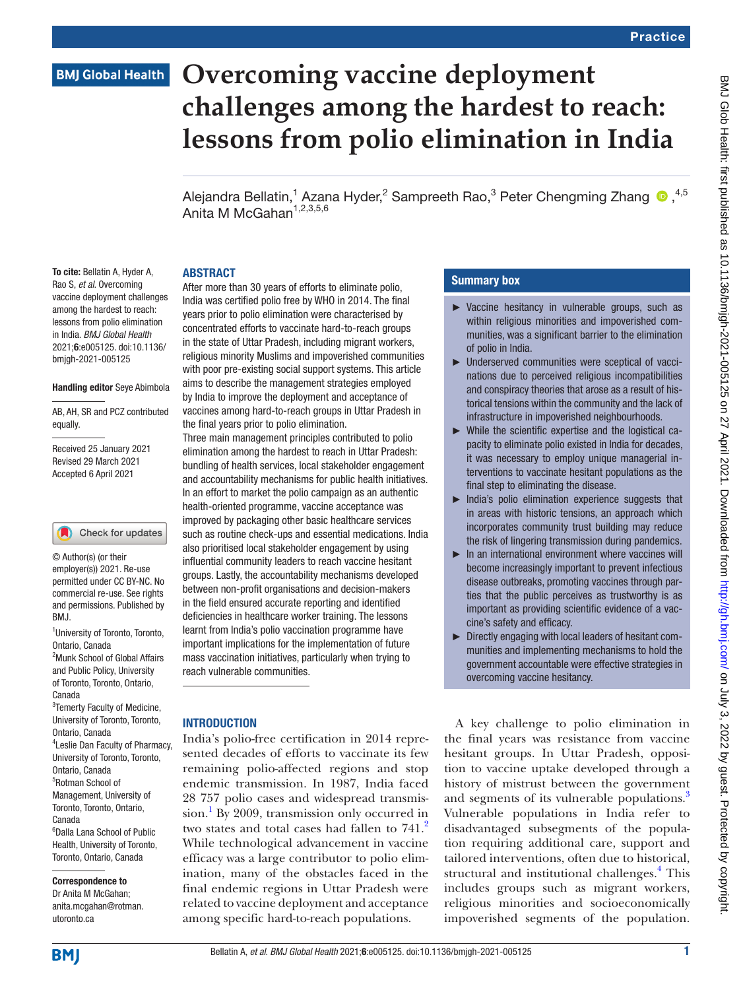# **BMJ Global Health**

# **Overcoming vaccine deployment challenges among the hardest to reach: lessons from polio elimination in India**

Alejandra Bellatin,<sup>1</sup> Azana Hyder,<sup>2</sup> Sampreeth Rao,<sup>3</sup> Peter Chengming Zhang <sup>1,5</sup> Anita M McGahan<sup>1,2,3,5,6</sup>

#### ABSTRACT

To cite: Bellatin A, Hyder A, Rao S, *et al*. Overcoming vaccine deployment challenges among the hardest to reach: lessons from polio elimination in India. *BMJ Global Health* 2021;6:e005125. doi:10.1136/ bmjgh-2021-005125

#### Handling editor Seye Abimbola

AB, AH, SR and PCZ contributed equally.

Received 25 January 2021 Revised 29 March 2021 Accepted 6 April 2021

#### Check for updates

© Author(s) (or their employer(s)) 2021. Re-use permitted under CC BY-NC. No commercial re-use. See rights and permissions. Published by BMJ.

1 University of Toronto, Toronto, Ontario, Canada <sup>2</sup>Munk School of Global Affairs and Public Policy, University of Toronto, Toronto, Ontario, Canada

3 Temerty Faculty of Medicine, University of Toronto, Toronto, Ontario, Canada 4 Leslie Dan Faculty of Pharmacy, University of Toronto, Toronto, Ontario, Canada 5 Rotman School of Management, University of Toronto, Toronto, Ontario, Canada 6 Dalla Lana School of Public Health, University of Toronto, Toronto, Ontario, Canada

#### Correspondence to

Dr Anita M McGahan; anita.mcgahan@rotman. utoronto.ca

After more than 30 years of efforts to eliminate polio, India was certified polio free by WHO in 2014. The final years prior to polio elimination were characterised by concentrated efforts to vaccinate hard-to-reach groups in the state of Uttar Pradesh, including migrant workers, religious minority Muslims and impoverished communities with poor pre-existing social support systems. This article aims to describe the management strategies employed by India to improve the deployment and acceptance of vaccines among hard-to-reach groups in Uttar Pradesh in the final years prior to polio elimination.

Three main management principles contributed to polio elimination among the hardest to reach in Uttar Pradesh: bundling of health services, local stakeholder engagement and accountability mechanisms for public health initiatives. In an effort to market the polio campaign as an authentic health-oriented programme, vaccine acceptance was improved by packaging other basic healthcare services such as routine check-ups and essential medications. India also prioritised local stakeholder engagement by using influential community leaders to reach vaccine hesitant groups. Lastly, the accountability mechanisms developed between non-profit organisations and decision-makers in the field ensured accurate reporting and identified deficiencies in healthcare worker training. The lessons learnt from India's polio vaccination programme have important implications for the implementation of future mass vaccination initiatives, particularly when trying to reach vulnerable communities.

## **INTRODUCTION**

India's polio-free certification in 2014 represented decades of efforts to vaccinate its few remaining polio-affected regions and stop endemic transmission. In 1987, India faced 28 757 polio cases and widespread transmission.<sup>1</sup> By 2009, transmission only occurred in two states and total cases had fallen to  $741<sup>2</sup>$ While technological advancement in vaccine efficacy was a large contributor to polio elimination, many of the obstacles faced in the final endemic regions in Uttar Pradesh were related to vaccine deployment and acceptance among specific hard-to-reach populations.

## Summary box

- ► Vaccine hesitancy in vulnerable groups, such as within religious minorities and impoverished communities, was a significant barrier to the elimination of polio in India.
- ► Underserved communities were sceptical of vaccinations due to perceived religious incompatibilities and conspiracy theories that arose as a result of historical tensions within the community and the lack of infrastructure in impoverished neighbourhoods.
- ► While the scientific expertise and the logistical capacity to eliminate polio existed in India for decades, it was necessary to employ unique managerial interventions to vaccinate hesitant populations as the final step to eliminating the disease.
- ► India's polio elimination experience suggests that in areas with historic tensions, an approach which incorporates community trust building may reduce the risk of lingering transmission during pandemics.
- ► In an international environment where vaccines will become increasingly important to prevent infectious disease outbreaks, promoting vaccines through parties that the public perceives as trustworthy is as important as providing scientific evidence of a vaccine's safety and efficacy.
- ► Directly engaging with local leaders of hesitant communities and implementing mechanisms to hold the government accountable were effective strategies in overcoming vaccine hesitancy.

A key challenge to polio elimination in the final years was resistance from vaccine hesitant groups. In Uttar Pradesh, opposition to vaccine uptake developed through a history of mistrust between the government and segments of its vulnerable populations.<sup>[3](#page-5-2)</sup> Vulnerable populations in India refer to disadvantaged subsegments of the population requiring additional care, support and tailored interventions, often due to historical, structural and institutional challenges.<sup>[4](#page-5-3)</sup> This includes groups such as migrant workers, religious minorities and socioeconomically impoverished segments of the population.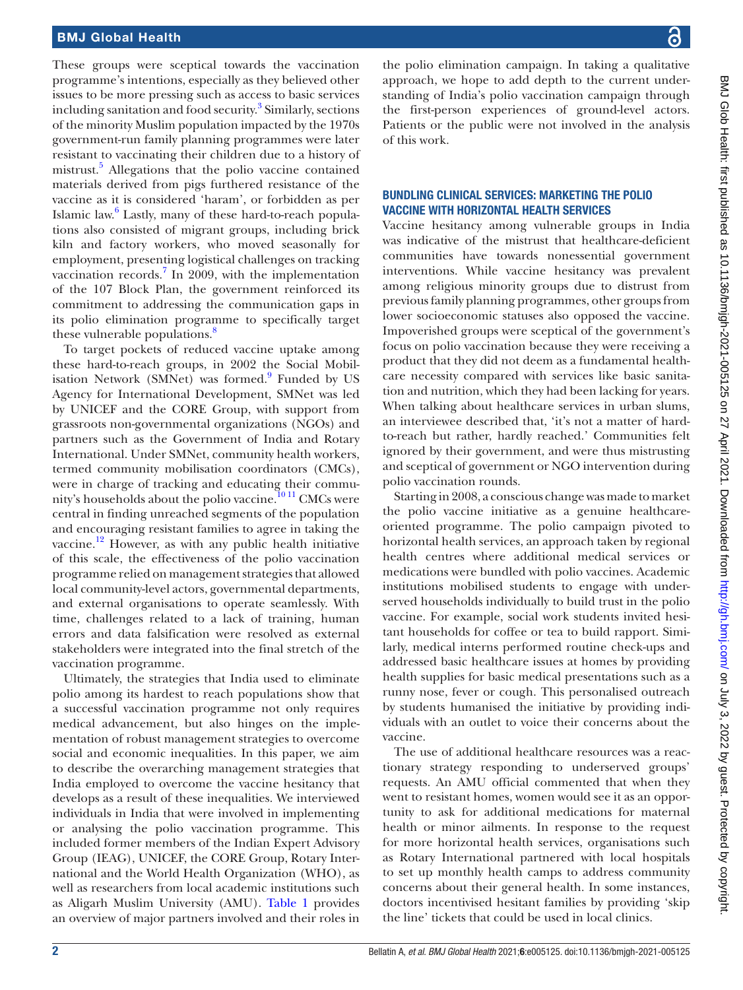These groups were sceptical towards the vaccination programme's intentions, especially as they believed other issues to be more pressing such as access to basic services including sanitation and food security.<sup>[3](#page-5-2)</sup> Similarly, sections of the minority Muslim population impacted by the 1970s government-run family planning programmes were later resistant to vaccinating their children due to a history of mistrust.<sup>5</sup> Allegations that the polio vaccine contained materials derived from pigs furthered resistance of the vaccine as it is considered 'haram', or forbidden as per Islamic law.<sup>[6](#page-5-5)</sup> Lastly, many of these hard-to-reach populations also consisted of migrant groups, including brick kiln and factory workers, who moved seasonally for employment, presenting logistical challenges on tracking vaccination records.<sup>7</sup> In 2009, with the implementation of the 107 Block Plan, the government reinforced its commitment to addressing the communication gaps in its polio elimination programme to specifically target these vulnerable populations.<sup>8</sup>

To target pockets of reduced vaccine uptake among these hard-to-reach groups, in 2002 the Social Mobilisation Network (SMNet) was formed.<sup>9</sup> Funded by US Agency for International Development, SMNet was led by UNICEF and the CORE Group, with support from grassroots non-governmental organizations (NGOs) and partners such as the Government of India and Rotary International. Under SMNet, community health workers, termed community mobilisation coordinators (CMCs), were in charge of tracking and educating their community's households about the polio vaccine[.10 11](#page-5-9) CMCs were central in finding unreached segments of the population and encouraging resistant families to agree in taking the vaccine.<sup>[12](#page-5-10)</sup> However, as with any public health initiative of this scale, the effectiveness of the polio vaccination programme relied on management strategies that allowed local community-level actors, governmental departments, and external organisations to operate seamlessly. With time, challenges related to a lack of training, human errors and data falsification were resolved as external stakeholders were integrated into the final stretch of the vaccination programme.

Ultimately, the strategies that India used to eliminate polio among its hardest to reach populations show that a successful vaccination programme not only requires medical advancement, but also hinges on the implementation of robust management strategies to overcome social and economic inequalities. In this paper, we aim to describe the overarching management strategies that India employed to overcome the vaccine hesitancy that develops as a result of these inequalities. We interviewed individuals in India that were involved in implementing or analysing the polio vaccination programme. This included former members of the Indian Expert Advisory Group (IEAG), UNICEF, the CORE Group, Rotary International and the World Health Organization (WHO), as well as researchers from local academic institutions such as Aligarh Muslim University (AMU). [Table](#page-2-0) 1 provides an overview of major partners involved and their roles in

the polio elimination campaign. In taking a qualitative approach, we hope to add depth to the current understanding of India's polio vaccination campaign through the first-person experiences of ground-level actors. Patients or the public were not involved in the analysis of this work.

## BUNDLING CLINICAL SERVICES: MARKETING THE POLIO VACCINE WITH HORIZONTAL HEALTH SERVICES

Vaccine hesitancy among vulnerable groups in India was indicative of the mistrust that healthcare-deficient communities have towards nonessential government interventions. While vaccine hesitancy was prevalent among religious minority groups due to distrust from previous family planning programmes, other groups from lower socioeconomic statuses also opposed the vaccine. Impoverished groups were sceptical of the government's focus on polio vaccination because they were receiving a product that they did not deem as a fundamental healthcare necessity compared with services like basic sanitation and nutrition, which they had been lacking for years. When talking about healthcare services in urban slums, an interviewee described that, 'it's not a matter of hardto-reach but rather, hardly reached.' Communities felt ignored by their government, and were thus mistrusting and sceptical of government or NGO intervention during polio vaccination rounds.

Starting in 2008, a conscious change was made to market the polio vaccine initiative as a genuine healthcareoriented programme. The polio campaign pivoted to horizontal health services, an approach taken by regional health centres where additional medical services or medications were bundled with polio vaccines. Academic institutions mobilised students to engage with underserved households individually to build trust in the polio vaccine. For example, social work students invited hesitant households for coffee or tea to build rapport. Similarly, medical interns performed routine check-ups and addressed basic healthcare issues at homes by providing health supplies for basic medical presentations such as a runny nose, fever or cough. This personalised outreach by students humanised the initiative by providing individuals with an outlet to voice their concerns about the vaccine.

The use of additional healthcare resources was a reactionary strategy responding to underserved groups' requests. An AMU official commented that when they went to resistant homes, women would see it as an opportunity to ask for additional medications for maternal health or minor ailments. In response to the request for more horizontal health services, organisations such as Rotary International partnered with local hospitals to set up monthly health camps to address community concerns about their general health. In some instances, doctors incentivised hesitant families by providing 'skip the line' tickets that could be used in local clinics.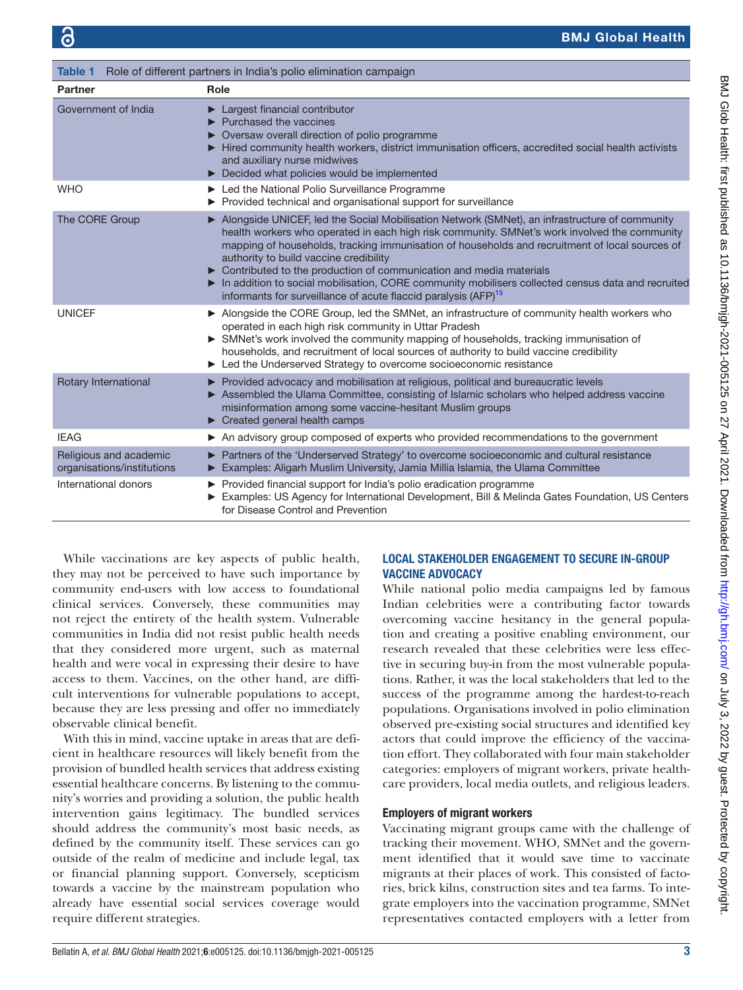<span id="page-2-0"></span>

| Role of different partners in India's polio elimination campaign<br>Table 1 |                                                                                                                                                                                                                                                                                                                                                                                                                                                                                                                                                                                                      |
|-----------------------------------------------------------------------------|------------------------------------------------------------------------------------------------------------------------------------------------------------------------------------------------------------------------------------------------------------------------------------------------------------------------------------------------------------------------------------------------------------------------------------------------------------------------------------------------------------------------------------------------------------------------------------------------------|
| Partner                                                                     | Role                                                                                                                                                                                                                                                                                                                                                                                                                                                                                                                                                                                                 |
| Government of India                                                         | $\blacktriangleright$ Largest financial contributor<br>Purchased the vaccines<br>Oversaw overall direction of polio programme<br>Hired community health workers, district immunisation officers, accredited social health activists<br>and auxiliary nurse midwives<br>Decided what policies would be implemented                                                                                                                                                                                                                                                                                    |
| <b>WHO</b>                                                                  | Eled the National Polio Surveillance Programme<br>▶ Provided technical and organisational support for surveillance                                                                                                                                                                                                                                                                                                                                                                                                                                                                                   |
| The CORE Group                                                              | Alongside UNICEF, led the Social Mobilisation Network (SMNet), an infrastructure of community<br>health workers who operated in each high risk community. SMNet's work involved the community<br>mapping of households, tracking immunisation of households and recruitment of local sources of<br>authority to build vaccine credibility<br>▶ Contributed to the production of communication and media materials<br>In addition to social mobilisation, CORE community mobilisers collected census data and recruited<br>informants for surveillance of acute flaccid paralysis (AFP) <sup>15</sup> |
| <b>UNICEF</b>                                                               | • Alongside the CORE Group, led the SMNet, an infrastructure of community health workers who<br>operated in each high risk community in Uttar Pradesh<br>SMNet's work involved the community mapping of households, tracking immunisation of<br>households, and recruitment of local sources of authority to build vaccine credibility<br>Led the Underserved Strategy to overcome socioeconomic resistance                                                                                                                                                                                          |
| Rotary International                                                        | ▶ Provided advocacy and mobilisation at religious, political and bureaucratic levels<br>Assembled the Ulama Committee, consisting of Islamic scholars who helped address vaccine<br>misinformation among some vaccine-hesitant Muslim groups<br>Created general health camps                                                                                                                                                                                                                                                                                                                         |
| <b>IEAG</b>                                                                 | An advisory group composed of experts who provided recommendations to the government                                                                                                                                                                                                                                                                                                                                                                                                                                                                                                                 |
| Religious and academic<br>organisations/institutions                        | ▶ Partners of the 'Underserved Strategy' to overcome socioeconomic and cultural resistance<br>Examples: Aligarh Muslim University, Jamia Millia Islamia, the Ulama Committee                                                                                                                                                                                                                                                                                                                                                                                                                         |
| International donors                                                        | ▶ Provided financial support for India's polio eradication programme<br>Examples: US Agency for International Development, Bill & Melinda Gates Foundation, US Centers<br>for Disease Control and Prevention                                                                                                                                                                                                                                                                                                                                                                                         |

While vaccinations are key aspects of public health, they may not be perceived to have such importance by community end-users with low access to foundational clinical services. Conversely, these communities may not reject the entirety of the health system. Vulnerable communities in India did not resist public health needs that they considered more urgent, such as maternal health and were vocal in expressing their desire to have access to them. Vaccines, on the other hand, are difficult interventions for vulnerable populations to accept, because they are less pressing and offer no immediately observable clinical benefit.

With this in mind, vaccine uptake in areas that are deficient in healthcare resources will likely benefit from the provision of bundled health services that address existing essential healthcare concerns. By listening to the community's worries and providing a solution, the public health intervention gains legitimacy. The bundled services should address the community's most basic needs, as defined by the community itself. These services can go outside of the realm of medicine and include legal, tax or financial planning support. Conversely, scepticism towards a vaccine by the mainstream population who already have essential social services coverage would require different strategies.

## LOCAL STAKEHOLDER ENGAGEMENT TO SECURE IN-GROUP VACCINE ADVOCACY

While national polio media campaigns led by famous Indian celebrities were a contributing factor towards overcoming vaccine hesitancy in the general population and creating a positive enabling environment, our research revealed that these celebrities were less effective in securing buy-in from the most vulnerable populations. Rather, it was the local stakeholders that led to the success of the programme among the hardest-to-reach populations. Organisations involved in polio elimination observed pre-existing social structures and identified key actors that could improve the efficiency of the vaccination effort. They collaborated with four main stakeholder categories: employers of migrant workers, private healthcare providers, local media outlets, and religious leaders.

## Employers of migrant workers

Vaccinating migrant groups came with the challenge of tracking their movement. WHO, SMNet and the government identified that it would save time to vaccinate migrants at their places of work. This consisted of factories, brick kilns, construction sites and tea farms. To integrate employers into the vaccination programme, SMNet representatives contacted employers with a letter from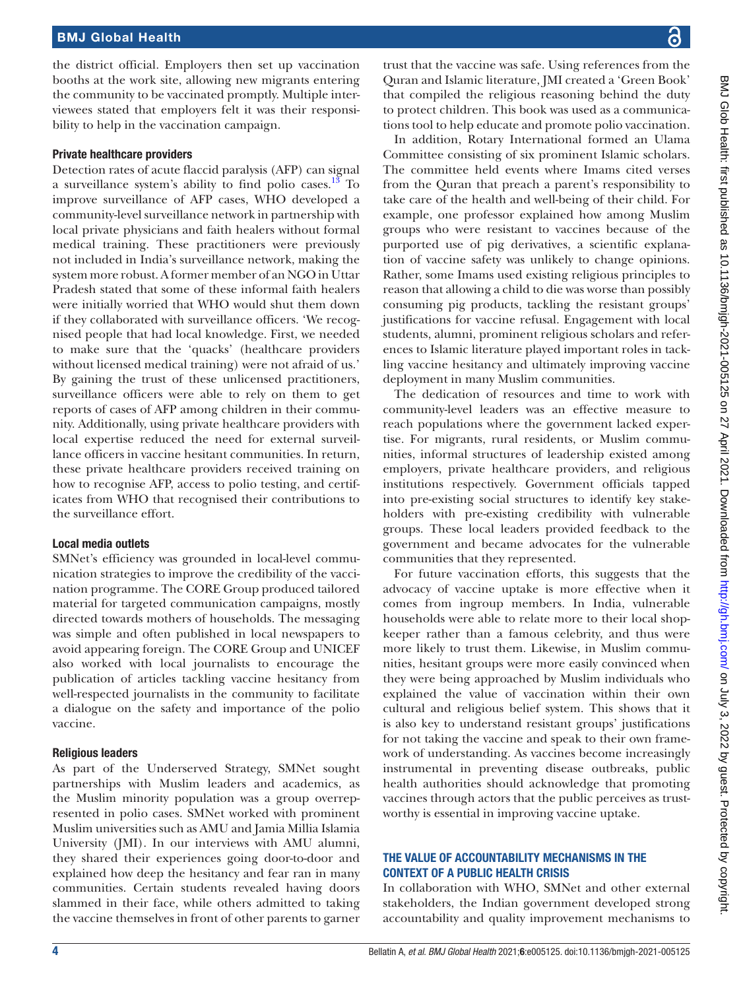the district official. Employers then set up vaccination booths at the work site, allowing new migrants entering the community to be vaccinated promptly. Multiple interviewees stated that employers felt it was their responsibility to help in the vaccination campaign.

## Private healthcare providers

Detection rates of acute flaccid paralysis (AFP) can signal a surveillance system's ability to find polio cases.<sup>13</sup> To improve surveillance of AFP cases, WHO developed a community-level surveillance network in partnership with local private physicians and faith healers without formal medical training. These practitioners were previously not included in India's surveillance network, making the system more robust. A former member of an NGO in Uttar Pradesh stated that some of these informal faith healers were initially worried that WHO would shut them down if they collaborated with surveillance officers. 'We recognised people that had local knowledge. First, we needed to make sure that the 'quacks' (healthcare providers without licensed medical training) were not afraid of us.' By gaining the trust of these unlicensed practitioners, surveillance officers were able to rely on them to get reports of cases of AFP among children in their community. Additionally, using private healthcare providers with local expertise reduced the need for external surveillance officers in vaccine hesitant communities. In return, these private healthcare providers received training on how to recognise AFP, access to polio testing, and certificates from WHO that recognised their contributions to the surveillance effort.

## Local media outlets

SMNet's efficiency was grounded in local-level communication strategies to improve the credibility of the vaccination programme. The CORE Group produced tailored material for targeted communication campaigns, mostly directed towards mothers of households. The messaging was simple and often published in local newspapers to avoid appearing foreign. The CORE Group and UNICEF also worked with local journalists to encourage the publication of articles tackling vaccine hesitancy from well-respected journalists in the community to facilitate a dialogue on the safety and importance of the polio vaccine.

#### Religious leaders

As part of the Underserved Strategy, SMNet sought partnerships with Muslim leaders and academics, as the Muslim minority population was a group overrepresented in polio cases. SMNet worked with prominent Muslim universities such as AMU and Jamia Millia Islamia University (JMI). In our interviews with AMU alumni, they shared their experiences going door-to-door and explained how deep the hesitancy and fear ran in many communities. Certain students revealed having doors slammed in their face, while others admitted to taking the vaccine themselves in front of other parents to garner

trust that the vaccine was safe. Using references from the Quran and Islamic literature, JMI created a 'Green Book' that compiled the religious reasoning behind the duty to protect children. This book was used as a communications tool to help educate and promote polio vaccination.

In addition, Rotary International formed an Ulama Committee consisting of six prominent Islamic scholars. The committee held events where Imams cited verses from the Quran that preach a parent's responsibility to take care of the health and well-being of their child. For example, one professor explained how among Muslim groups who were resistant to vaccines because of the purported use of pig derivatives, a scientific explanation of vaccine safety was unlikely to change opinions. Rather, some Imams used existing religious principles to reason that allowing a child to die was worse than possibly consuming pig products, tackling the resistant groups' justifications for vaccine refusal. Engagement with local students, alumni, prominent religious scholars and references to Islamic literature played important roles in tackling vaccine hesitancy and ultimately improving vaccine deployment in many Muslim communities.

The dedication of resources and time to work with community-level leaders was an effective measure to reach populations where the government lacked expertise. For migrants, rural residents, or Muslim communities, informal structures of leadership existed among employers, private healthcare providers, and religious institutions respectively. Government officials tapped into pre-existing social structures to identify key stakeholders with pre-existing credibility with vulnerable groups. These local leaders provided feedback to the government and became advocates for the vulnerable communities that they represented.

For future vaccination efforts, this suggests that the advocacy of vaccine uptake is more effective when it comes from ingroup members. In India, vulnerable households were able to relate more to their local shopkeeper rather than a famous celebrity, and thus were more likely to trust them. Likewise, in Muslim communities, hesitant groups were more easily convinced when they were being approached by Muslim individuals who explained the value of vaccination within their own cultural and religious belief system. This shows that it is also key to understand resistant groups' justifications for not taking the vaccine and speak to their own framework of understanding. As vaccines become increasingly instrumental in preventing disease outbreaks, public health authorities should acknowledge that promoting vaccines through actors that the public perceives as trustworthy is essential in improving vaccine uptake.

## THE VALUE OF ACCOUNTABILITY MECHANISMS IN THE CONTEXT OF A PUBLIC HEALTH CRISIS

In collaboration with WHO, SMNet and other external stakeholders, the Indian government developed strong accountability and quality improvement mechanisms to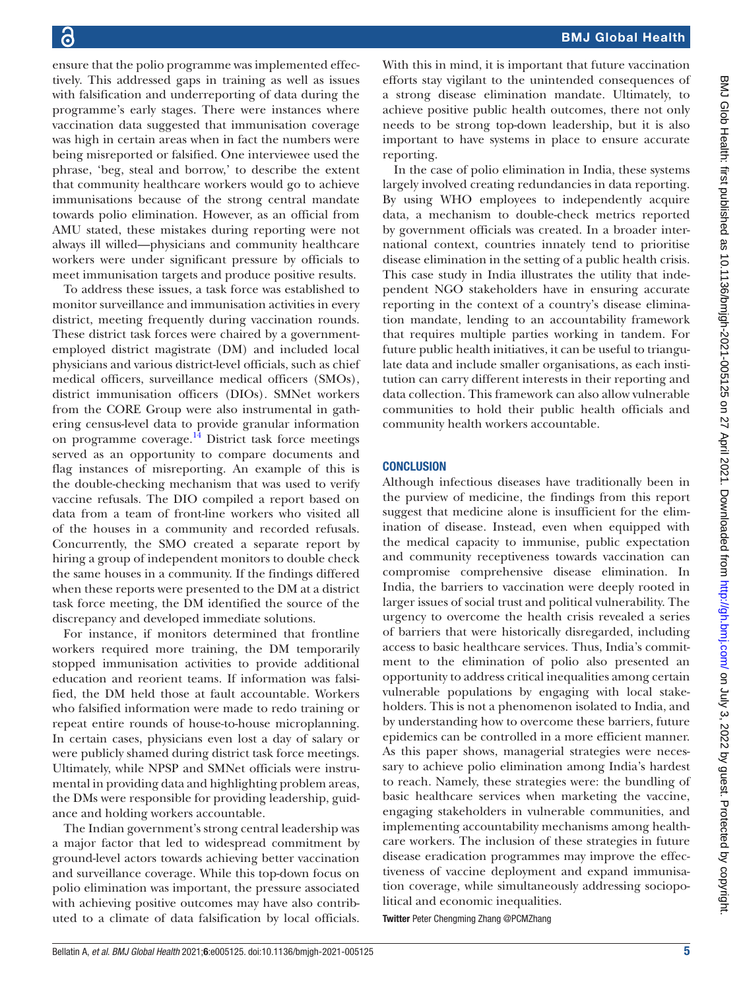ensure that the polio programme was implemented effectively. This addressed gaps in training as well as issues with falsification and underreporting of data during the programme's early stages. There were instances where vaccination data suggested that immunisation coverage was high in certain areas when in fact the numbers were being misreported or falsified. One interviewee used the phrase, 'beg, steal and borrow,' to describe the extent that community healthcare workers would go to achieve immunisations because of the strong central mandate towards polio elimination. However, as an official from AMU stated, these mistakes during reporting were not always ill willed—physicians and community healthcare workers were under significant pressure by officials to meet immunisation targets and produce positive results.

To address these issues, a task force was established to monitor surveillance and immunisation activities in every district, meeting frequently during vaccination rounds. These district task forces were chaired by a governmentemployed district magistrate (DM) and included local physicians and various district-level officials, such as chief medical officers, surveillance medical officers (SMOs), district immunisation officers (DIOs). SMNet workers from the CORE Group were also instrumental in gathering census-level data to provide granular information on programme coverage.<sup>[14](#page-5-13)</sup> District task force meetings served as an opportunity to compare documents and flag instances of misreporting. An example of this is the double-checking mechanism that was used to verify vaccine refusals. The DIO compiled a report based on data from a team of front-line workers who visited all of the houses in a community and recorded refusals. Concurrently, the SMO created a separate report by hiring a group of independent monitors to double check the same houses in a community. If the findings differed when these reports were presented to the DM at a district task force meeting, the DM identified the source of the discrepancy and developed immediate solutions.

For instance, if monitors determined that frontline workers required more training, the DM temporarily stopped immunisation activities to provide additional education and reorient teams. If information was falsified, the DM held those at fault accountable. Workers who falsified information were made to redo training or repeat entire rounds of house-to-house microplanning. In certain cases, physicians even lost a day of salary or were publicly shamed during district task force meetings. Ultimately, while NPSP and SMNet officials were instrumental in providing data and highlighting problem areas, the DMs were responsible for providing leadership, guidance and holding workers accountable.

The Indian government's strong central leadership was a major factor that led to widespread commitment by ground-level actors towards achieving better vaccination and surveillance coverage. While this top-down focus on polio elimination was important, the pressure associated with achieving positive outcomes may have also contributed to a climate of data falsification by local officials.

With this in mind, it is important that future vaccination efforts stay vigilant to the unintended consequences of a strong disease elimination mandate. Ultimately, to achieve positive public health outcomes, there not only needs to be strong top-down leadership, but it is also important to have systems in place to ensure accurate reporting.

In the case of polio elimination in India, these systems largely involved creating redundancies in data reporting. By using WHO employees to independently acquire data, a mechanism to double-check metrics reported by government officials was created. In a broader international context, countries innately tend to prioritise disease elimination in the setting of a public health crisis. This case study in India illustrates the utility that independent NGO stakeholders have in ensuring accurate reporting in the context of a country's disease elimination mandate, lending to an accountability framework that requires multiple parties working in tandem. For future public health initiatives, it can be useful to triangulate data and include smaller organisations, as each institution can carry different interests in their reporting and data collection. This framework can also allow vulnerable communities to hold their public health officials and community health workers accountable.

## **CONCLUSION**

Although infectious diseases have traditionally been in the purview of medicine, the findings from this report suggest that medicine alone is insufficient for the elimination of disease. Instead, even when equipped with the medical capacity to immunise, public expectation and community receptiveness towards vaccination can compromise comprehensive disease elimination. In India, the barriers to vaccination were deeply rooted in larger issues of social trust and political vulnerability. The urgency to overcome the health crisis revealed a series of barriers that were historically disregarded, including access to basic healthcare services. Thus, India's commitment to the elimination of polio also presented an opportunity to address critical inequalities among certain vulnerable populations by engaging with local stakeholders. This is not a phenomenon isolated to India, and by understanding how to overcome these barriers, future epidemics can be controlled in a more efficient manner. As this paper shows, managerial strategies were necessary to achieve polio elimination among India's hardest to reach. Namely, these strategies were: the bundling of basic healthcare services when marketing the vaccine, engaging stakeholders in vulnerable communities, and implementing accountability mechanisms among healthcare workers. The inclusion of these strategies in future disease eradication programmes may improve the effectiveness of vaccine deployment and expand immunisation coverage, while simultaneously addressing sociopolitical and economic inequalities.

Twitter Peter Chengming Zhang [@PCMZhang](https://twitter.com/PCMZhang)